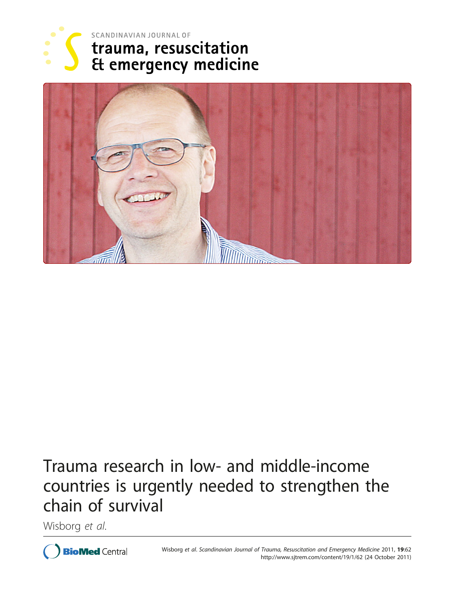



# Trauma research in low- and middle-income countries is urgently needed to strengthen the chain of survival

Wisborg et al.

**BioMed Central**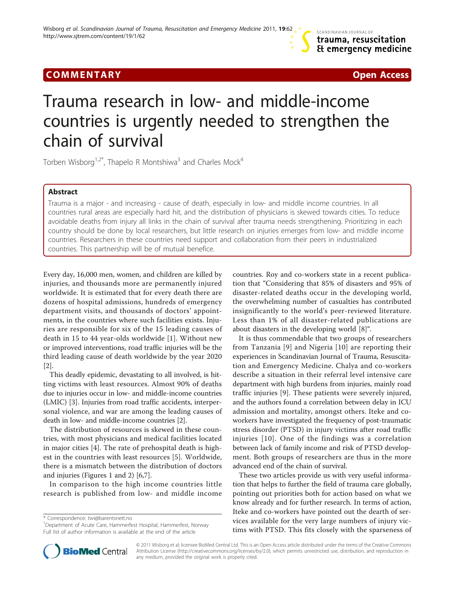### Communication of the communication of the communication of the communication of the communication of the communication<br>The communication of the communication of the communication of the communication of the communication o



## Trauma research in low- and middle-income countries is urgently needed to strengthen the chain of survival

Torben Wisborg<sup>1,2\*</sup>, Thapelo R Montshiwa<sup>3</sup> and Charles Mock<sup>4</sup>

Abstract Trauma is a major - and increasing - cause of death, especially in low- and middle income countries. In all countries rural areas are especially hard hit, and the distribution of physicians is skewed towards cities. To reduce avoidable deaths from injury all links in the chain of survival after trauma needs strengthening. Prioritizing in each country should be done by local researchers, but little research on injuries emerges from low- and middle income countries. Researchers in these countries need support and collaboration from their peers in industrialized countries. This partnership will be of mutual benefice.

Every day, 16,000 men, women, and children are killed by injuries, and thousands more are permanently injured worldwide. It is estimated that for every death there are dozens of hospital admissions, hundreds of emergency department visits, and thousands of doctors' appointments, in the countries where such facilities exists. Injuries are responsible for six of the 15 leading causes of death in 15 to 44 year-olds worldwide [[1\]](#page-3-0). Without new or improved interventions, road traffic injuries will be the third leading cause of death worldwide by the year 2020 [[2\]](#page-3-0).

This deadly epidemic, devastating to all involved, is hitting victims with least resources. Almost 90% of deaths due to injuries occur in low- and middle-income countries (LMIC) [[3\]](#page-3-0). Injuries from road traffic accidents, interpersonal violence, and war are among the leading causes of death in low- and middle-income countries [[2\]](#page-3-0).

The distribution of resources is skewed in these countries, with most physicians and medical facilities located in major cities [\[4](#page-3-0)]. The rate of prehospital death is highest in the countries with least resources [[5\]](#page-3-0). Worldwide, there is a mismatch between the distribution of doctors and injuries (Figures [1](#page-2-0) and [2\)](#page-2-0) [[6](#page-3-0),[7](#page-3-0)].

In comparison to the high income countries little research is published from low- and middle income

\* Correspondence: [twi@barentsnett.no](mailto:twi@barentsnett.no)



It is thus commendable that two groups of researchers from Tanzania [[9](#page-3-0)] and Nigeria [\[10\]](#page-3-0) are reporting their experiences in Scandinavian Journal of Trauma, Resuscitation and Emergency Medicine. Chalya and co-workers describe a situation in their referral level intensive care department with high burdens from injuries, mainly road traffic injuries [[9](#page-3-0)]. These patients were severely injured, and the authors found a correlation between delay in ICU admission and mortality, amongst others. Iteke and coworkers have investigated the frequency of post-traumatic stress disorder (PTSD) in injury victims after road traffic injuries [[10](#page-3-0)]. One of the findings was a correlation between lack of family income and risk of PTSD development. Both groups of researchers are thus in the more advanced end of the chain of survival.

These two articles provide us with very useful information that helps to further the field of trauma care globally, pointing out priorities both for action based on what we know already and for further research. In terms of action, Iteke and co-workers have pointed out the dearth of services available for the very large numbers of injury victims with PTSD. This fits closely with the sparseness of



© 2011 Wisborg et al; licensee BioMed Central Ltd. This is an Open Access article distributed under the terms of the Creative Commons Attribution License [\(http://creativecommons.org/licenses/by/2.0](http://creativecommons.org/licenses/by/2.0)), which permits unrestricted use, distribution, and reproduction in any medium, provided the original work is properly cited.

<sup>&</sup>lt;sup>1</sup>Department of Acute Care, Hammerfest Hospital, Hammerfest, Norway Full list of author information is available at the end of the article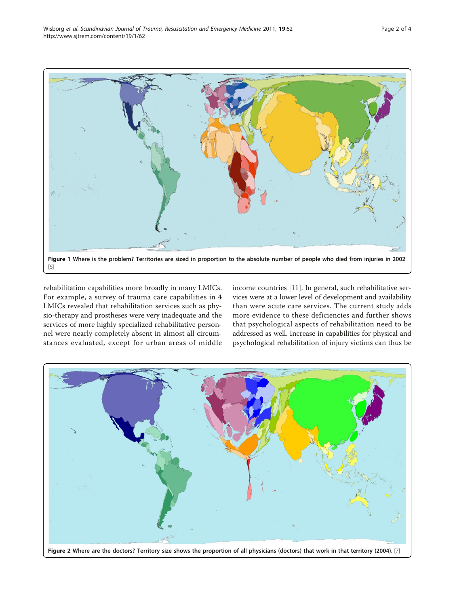<span id="page-2-0"></span>

rehabilitation capabilities more broadly in many LMICs. For example, a survey of trauma care capabilities in 4 LMICs revealed that rehabilitation services such as physio-therapy and prostheses were very inadequate and the services of more highly specialized rehabilitative personnel were nearly completely absent in almost all circumstances evaluated, except for urban areas of middle income countries [[11](#page-3-0)]. In general, such rehabilitative services were at a lower level of development and availability than were acute care services. The current study adds more evidence to these deficiencies and further shows that psychological aspects of rehabilitation need to be addressed as well. Increase in capabilities for physical and psychological rehabilitation of injury victims can thus be

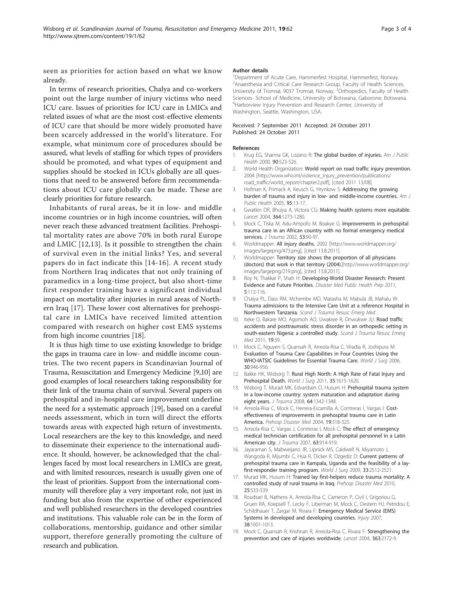<span id="page-3-0"></span>seen as priorities for action based on what we know already.

In terms of research priorities, Chalya and co-workers point out the large number of injury victims who need ICU care. Issues of priorities for ICU care in LMICs and related issues of what are the most cost-effective elements of ICU care that should be more widely promoted have been scarcely addressed in the world's literature. For example, what minimum core of procedures should be assured, what levels of staffing for which types of providers should be promoted, and what types of equipment and supplies should be stocked in ICUs globally are all questions that need to be answered before firm recommendations about ICU care globally can be made. These are clearly priorities for future research.

Inhabitants of rural areas, be it in low- and middle income countries or in high income countries, will often never reach these advanced treatment facilities. Prehospital mortality rates are above 70% in both rural Europe and LMIC [12,13]. Is it possible to strengthen the chain of survival even in the initial links? Yes, and several papers do in fact indicate this [14-16]. A recent study from Northern Iraq indicates that not only training of paramedics in a long-time project, but also short-time first responder training have a significant individual impact on mortality after injuries in rural areas of Northern Iraq [17]. These lower cost alternatives for prehospital care in LMICs have received limited attention compared with research on higher cost EMS systems from high income countries [18].

It is thus high time to use existing knowledge to bridge the gaps in trauma care in low- and middle income countries. The two recent papers in Scandinavian Journal of Trauma, Resuscitation and Emergency Medicine [9,10] are good examples of local researchers taking responsibility for their link of the trauma chain of survival. Several papers on prehospital and in-hospital care improvement underline the need for a systematic approach [19], based on a careful needs assessment, which in turn will direct the efforts towards areas with expected high return of investments. Local researchers are the key to this knowledge, and need to disseminate their experience to the international audience. It should, however, be acknowledged that the challenges faced by most local researchers in LMICs are great, and with limited resources, research is usually given one of the least of priorities. Support from the international community will therefore play a very important role, not just in funding but also from the expertise of other experienced and well published researchers in the developed countries and institutions. This valuable role can be in the form of collaborations, mentorship, guidance and other similar support, therefore generally promoting the culture of research and publication.

### Author details

<sup>1</sup>Department of Acute Care, Hammerfest Hospital, Hammerfest, Norway. <sup>2</sup> Anaesthesia and Critical Care Research Group, Faculty of Health Sciences, University of Tromsø, 9037 Tromsø, Norway. <sup>3</sup>Orthopedics, Faculty of Health Sciences- School of Medicine, University of Botswana, Gaborone, Botswana. 4 Harborview Injury Prevention and Research Center, University of Washington, Seattle, Washington, USA.

#### Received: 7 September 2011 Accepted: 24 October 2011 Published: 24 October 2011

#### References

- 1. Krug EG, Sharma GK, Lozano R: [The global burden of injuries.](http://www.ncbi.nlm.nih.gov/pubmed/10754963?dopt=Abstract) Am J Public Health 2000, 90:523-526.
- 2. World Health Organization: World report on road traffic injury prevention. 2004 [\[http://www.who.int/violence\\_injury\\_prevention/publications/](http://www.who.int/violence_injury_prevention/publications/road_traffic/world_report/chapter2.pdf) [road\\_traffic/world\\_report/chapter2.pdf](http://www.who.int/violence_injury_prevention/publications/road_traffic/world_report/chapter2.pdf)], [cited 2011 13/08].
- 3. Hofman K, Primack A, Keusch G, Hrynkow S: [Addressing the growing](http://www.ncbi.nlm.nih.gov/pubmed/15623852?dopt=Abstract) [burden of trauma and injury in low- and middle-income countries.](http://www.ncbi.nlm.nih.gov/pubmed/15623852?dopt=Abstract) Am J Public Health 2005, 95:13-17.
- 4. Gwatkin DR, Bhuiya A, Victora CG: [Making health systems more equitable.](http://www.ncbi.nlm.nih.gov/pubmed/15464189?dopt=Abstract) Lancet 2004, 364:1273-1280.
- 5. Mock C, Tiska M, Adu-Ampofo M, Boakye G: [Improvements in prehospital](http://www.ncbi.nlm.nih.gov/pubmed/12131396?dopt=Abstract) [trauma care in an African country with no formal emergency medical](http://www.ncbi.nlm.nih.gov/pubmed/12131396?dopt=Abstract) [services.](http://www.ncbi.nlm.nih.gov/pubmed/12131396?dopt=Abstract) J Trauma 2002, 53:90-97.
- 6. Worldmapper: All injury deaths. 2002 [[http://www.worldmapper.org/](http://www.worldmapper.org/images/largepng/473.png) [images/largepng/473.png](http://www.worldmapper.org/images/largepng/473.png)], [cited 13.8.2011].
- 7. Worldmapper: Territory size shows the proportion of all physicians (doctors) that work in that territory (2004).[[http://www.worldmapper.org/](http://www.worldmapper.org/images/largepng/219.png) [images/largepng/219.png](http://www.worldmapper.org/images/largepng/219.png)], [cited 13.8.2011].
- 8. Roy N, Thakkar P, Shah H: [Developing-World Disaster Research: Present](http://www.ncbi.nlm.nih.gov/pubmed/21685306?dopt=Abstract) [Evidence and Future Priorities.](http://www.ncbi.nlm.nih.gov/pubmed/21685306?dopt=Abstract) Disaster Med Public Health Prep 2011, 5:112-116.
- 9. Chalya PL, Dass RM, Mchembe MD, Matasha M, Mabula JB, Mahalu W: Trauma admissions to the Intensive Care Unit at a reference Hospital in Northwestern Tanzania. Scand J Trauma Resusc Emerg Med
- 10. Iteke O, Bakare MO, Agomoh AO, Uwakwe R, Onwukwe JU: [Road traffic](http://www.ncbi.nlm.nih.gov/pubmed/21696614?dopt=Abstract) [accidents and posttraumatic stress disorder in an orthopedic setting in](http://www.ncbi.nlm.nih.gov/pubmed/21696614?dopt=Abstract) [south-eastern Nigeria: a controlled study.](http://www.ncbi.nlm.nih.gov/pubmed/21696614?dopt=Abstract) Scand J Trauma Resusc Emerg Med 2011, 19:39.
- 11. Mock C, Nguyen S, Quansah R, Arreola-Risa C, Viradia R, Joshipura M: [Evaluation of Trauma Care Capabilities in Four Countries Using the](http://www.ncbi.nlm.nih.gov/pubmed/16736320?dopt=Abstract) [WHO-IATSIC Guidelines for Essential Trauma Care.](http://www.ncbi.nlm.nih.gov/pubmed/16736320?dopt=Abstract) World J Surg 2006, 30:946-956.
- 12. Bakke HK, Wisborg T: [Rural High North: A High Rate of Fatal Injury and](http://www.ncbi.nlm.nih.gov/pubmed/21538190?dopt=Abstract) [Prehospital Death.](http://www.ncbi.nlm.nih.gov/pubmed/21538190?dopt=Abstract) World J Surg 2011, 35:1615-1620.
- 13. Wisborg T, Murad MK, Edvardsen O, Husum H: [Prehospital trauma system](http://www.ncbi.nlm.nih.gov/pubmed/18469659?dopt=Abstract) [in a low-income country: system maturation and adaptation during](http://www.ncbi.nlm.nih.gov/pubmed/18469659?dopt=Abstract) [eight years.](http://www.ncbi.nlm.nih.gov/pubmed/18469659?dopt=Abstract) *J Trauma* 2008, 64:1342-1348.
- 14. Arreola-Risa C, Mock C, Herrera-Escamilla A, Contreras I, Vargas I: [Cost](http://www.ncbi.nlm.nih.gov/pubmed/15645628?dopt=Abstract)[effectiveness of improvements in prehospital trauma care in Latin](http://www.ncbi.nlm.nih.gov/pubmed/15645628?dopt=Abstract) [America.](http://www.ncbi.nlm.nih.gov/pubmed/15645628?dopt=Abstract) Prehosp Disaster Med 2004, 19:318-325.
- 15. Arreola-Risa C, Vargas J, Contreras I, Mock C: [The effect of emergency](http://www.ncbi.nlm.nih.gov/pubmed/18090026?dopt=Abstract) [medical technician certification for all prehospital personnel in a Latin](http://www.ncbi.nlm.nih.gov/pubmed/18090026?dopt=Abstract) [American city.](http://www.ncbi.nlm.nih.gov/pubmed/18090026?dopt=Abstract) J Trauma 2007, 63:914-919.
- 16. Jayaraman S, Mabweijano JR, Lipnick MS, Caldwell N, Miyamoto J, Wangoda R, Mijumbi C, Hsia R, Dicker R, Ozgediz D: [Current patterns of](http://www.ncbi.nlm.nih.gov/pubmed/19669228?dopt=Abstract) [prehospital trauma care in Kampala, Uganda and the feasibility of a lay](http://www.ncbi.nlm.nih.gov/pubmed/19669228?dopt=Abstract)first-responder [training program.](http://www.ncbi.nlm.nih.gov/pubmed/19669228?dopt=Abstract) World J Surg 2009, 33:2512-2521.
- 17. Murad MK, Husum H: [Trained lay first-helpers reduce trauma mortality: A](http://www.ncbi.nlm.nih.gov/pubmed/21181688?dopt=Abstract) [controlled study of rural trauma in Iraq.](http://www.ncbi.nlm.nih.gov/pubmed/21181688?dopt=Abstract) Prehosp Disaster Med 2010, 25:533-539.
- 18. Roudsari B, Nathens A, Arreola-Risa C, Cameron P, Civil I, Grigoriou G, Gruen RA, Koepsell T, Lecky F, Liberman M, Mock C, Oestern HJ, Petridou E, Schildhauer T, Zargar M, Rivara F: [Emergency Medical Service \(EMS\)](http://www.ncbi.nlm.nih.gov/pubmed/17583709?dopt=Abstract) [Systems in developed and developing countries.](http://www.ncbi.nlm.nih.gov/pubmed/17583709?dopt=Abstract) Injury 2007, 38:1001-1013.
- 19. Mock C, Quansah R, Krishnan R, Arreola-Risa C, Rivara F: [Strengthening the](http://www.ncbi.nlm.nih.gov/pubmed/15220042?dopt=Abstract) [prevention and care of injuries worldwide.](http://www.ncbi.nlm.nih.gov/pubmed/15220042?dopt=Abstract) Lancet 2004, 363:2172-9.